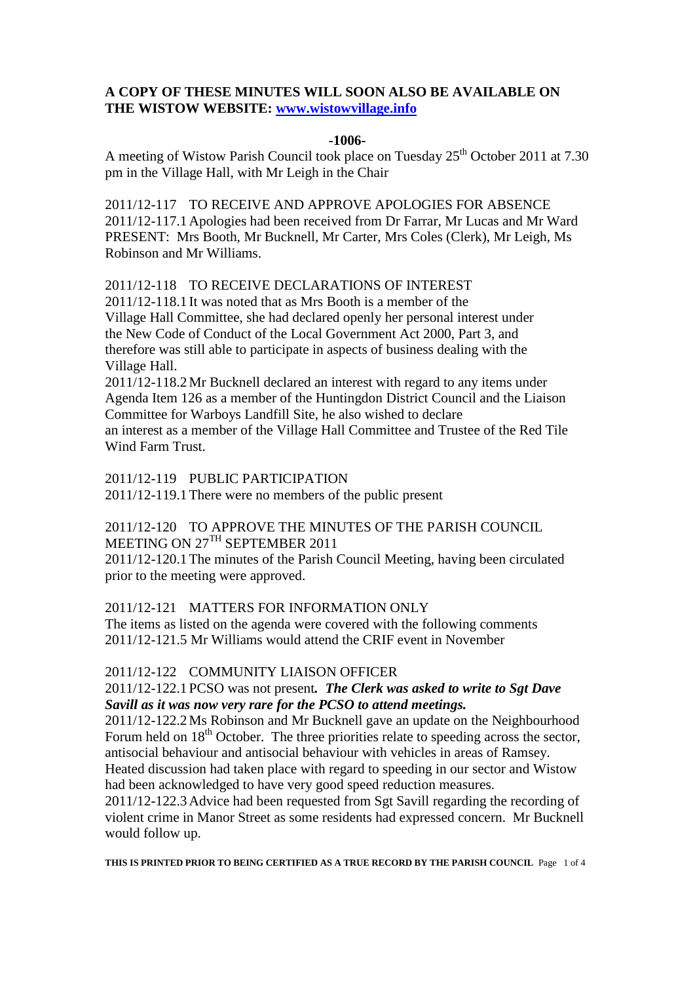## **A COPY OF THESE MINUTES WILL SOON ALSO BE AVAILABLE ON THE WISTOW WEBSITE: [www.wistowvillage.info](http://www.wistowvillage.info/)**

#### **-1006-**

A meeting of Wistow Parish Council took place on Tuesday 25<sup>th</sup> October 2011 at 7.30 pm in the Village Hall, with Mr Leigh in the Chair

2011/12-117 TO RECEIVE AND APPROVE APOLOGIES FOR ABSENCE 2011/12-117.1Apologies had been received from Dr Farrar, Mr Lucas and Mr Ward PRESENT: Mrs Booth, Mr Bucknell, Mr Carter, Mrs Coles (Clerk), Mr Leigh, Ms Robinson and Mr Williams.

### 2011/12-118 TO RECEIVE DECLARATIONS OF INTEREST

2011/12-118.1 It was noted that as Mrs Booth is a member of the Village Hall Committee, she had declared openly her personal interest under the New Code of Conduct of the Local Government Act 2000, Part 3, and therefore was still able to participate in aspects of business dealing with the Village Hall.

2011/12-118.2Mr Bucknell declared an interest with regard to any items under Agenda Item 126 as a member of the Huntingdon District Council and the Liaison Committee for Warboys Landfill Site, he also wished to declare an interest as a member of the Village Hall Committee and Trustee of the Red Tile Wind Farm Trust.

2011/12-119 PUBLIC PARTICIPATION

2011/12-119.1There were no members of the public present

# 2011/12-120 TO APPROVE THE MINUTES OF THE PARISH COUNCIL MEETING ON 27<sup>TH</sup> SEPTEMBER 2011

2011/12-120.1The minutes of the Parish Council Meeting, having been circulated prior to the meeting were approved.

## 2011/12-121 MATTERS FOR INFORMATION ONLY

The items as listed on the agenda were covered with the following comments 2011/12-121.5 Mr Williams would attend the CRIF event in November

## 2011/12-122 COMMUNITY LIAISON OFFICER

### 2011/12-122.1 PCSO was not present*. The Clerk was asked to write to Sgt Dave Savill as it was now very rare for the PCSO to attend meetings.*

2011/12-122.2Ms Robinson and Mr Bucknell gave an update on the Neighbourhood Forum held on  $18<sup>th</sup>$  October. The three priorities relate to speeding across the sector, antisocial behaviour and antisocial behaviour with vehicles in areas of Ramsey.

Heated discussion had taken place with regard to speeding in our sector and Wistow had been acknowledged to have very good speed reduction measures.

2011/12-122.3Advice had been requested from Sgt Savill regarding the recording of violent crime in Manor Street as some residents had expressed concern. Mr Bucknell would follow up.

**THIS IS PRINTED PRIOR TO BEING CERTIFIED AS A TRUE RECORD BY THE PARISH COUNCIL** Page 1 of 4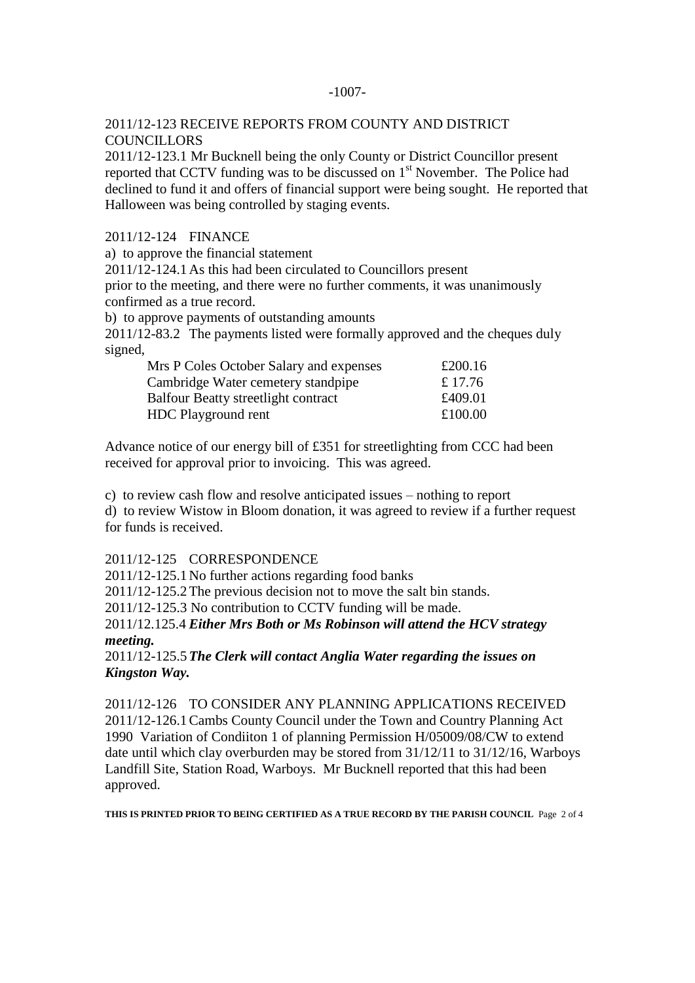#### -1007-

### 2011/12-123 RECEIVE REPORTS FROM COUNTY AND DISTRICT **COUNCILLORS**

2011/12-123.1 Mr Bucknell being the only County or District Councillor present reported that CCTV funding was to be discussed on 1<sup>st</sup> November. The Police had declined to fund it and offers of financial support were being sought. He reported that Halloween was being controlled by staging events.

2011/12-124 FINANCE

a) to approve the financial statement

2011/12-124.1As this had been circulated to Councillors present

prior to the meeting, and there were no further comments, it was unanimously confirmed as a true record.

b) to approve payments of outstanding amounts

2011/12-83.2 The payments listed were formally approved and the cheques duly signed,

| Mrs P Coles October Salary and expenses    | £200.16 |
|--------------------------------------------|---------|
| Cambridge Water cemetery standpipe         | £ 17.76 |
| <b>Balfour Beatty streetlight contract</b> | £409.01 |
| HDC Playground rent                        | £100.00 |

Advance notice of our energy bill of £351 for streetlighting from CCC had been received for approval prior to invoicing. This was agreed.

c) to review cash flow and resolve anticipated issues – nothing to report

d) to review Wistow in Bloom donation, it was agreed to review if a further request for funds is received.

### 2011/12-125 CORRESPONDENCE

2011/12-125.1No further actions regarding food banks

2011/12-125.2The previous decision not to move the salt bin stands.

2011/12-125.3 No contribution to CCTV funding will be made.

2011/12.125.4 *Either Mrs Both or Ms Robinson will attend the HCV strategy meeting.*

2011/12-125.5*The Clerk will contact Anglia Water regarding the issues on Kingston Way.*

2011/12-126 TO CONSIDER ANY PLANNING APPLICATIONS RECEIVED 2011/12-126.1Cambs County Council under the Town and Country Planning Act 1990 Variation of Condiiton 1 of planning Permission H/05009/08/CW to extend date until which clay overburden may be stored from 31/12/11 to 31/12/16, Warboys Landfill Site, Station Road, Warboys. Mr Bucknell reported that this had been approved.

**THIS IS PRINTED PRIOR TO BEING CERTIFIED AS A TRUE RECORD BY THE PARISH COUNCIL** Page 2 of 4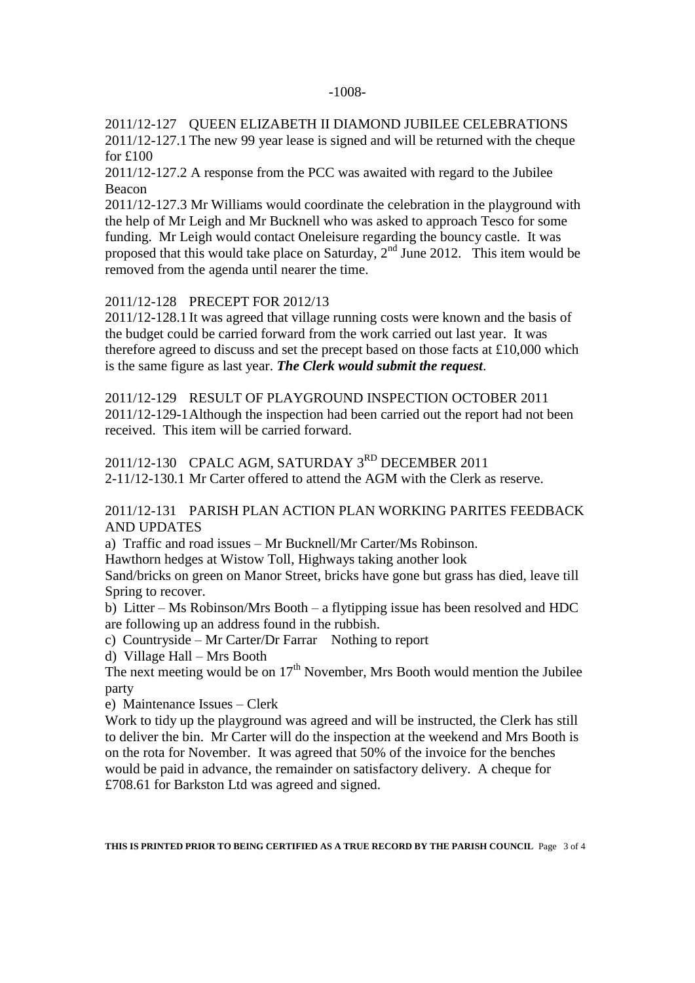#### -1008-

2011/12-127 QUEEN ELIZABETH II DIAMOND JUBILEE CELEBRATIONS 2011/12-127.1The new 99 year lease is signed and will be returned with the cheque for £100

2011/12-127.2 A response from the PCC was awaited with regard to the Jubilee Beacon

2011/12-127.3 Mr Williams would coordinate the celebration in the playground with the help of Mr Leigh and Mr Bucknell who was asked to approach Tesco for some funding. Mr Leigh would contact Oneleisure regarding the bouncy castle. It was proposed that this would take place on Saturday,  $2<sup>nd</sup>$  June 2012. This item would be removed from the agenda until nearer the time.

2011/12-128 PRECEPT FOR 2012/13

2011/12-128.1 It was agreed that village running costs were known and the basis of the budget could be carried forward from the work carried out last year. It was therefore agreed to discuss and set the precept based on those facts at £10,000 which is the same figure as last year. *The Clerk would submit the request*.

2011/12-129 RESULT OF PLAYGROUND INSPECTION OCTOBER 2011 2011/12-129-1Although the inspection had been carried out the report had not been received. This item will be carried forward.

2011/12-130 CPALC AGM, SATURDAY 3<sup>RD</sup> DECEMBER 2011 2-11/12-130.1 Mr Carter offered to attend the AGM with the Clerk as reserve.

### 2011/12-131 PARISH PLAN ACTION PLAN WORKING PARITES FEEDBACK AND UPDATES

a) Traffic and road issues – Mr Bucknell/Mr Carter/Ms Robinson.

Hawthorn hedges at Wistow Toll, Highways taking another look

Sand/bricks on green on Manor Street, bricks have gone but grass has died, leave till Spring to recover.

b) Litter – Ms Robinson/Mrs Booth – a flytipping issue has been resolved and HDC are following up an address found in the rubbish.

c) Countryside – Mr Carter/Dr Farrar Nothing to report

d) Village Hall – Mrs Booth

The next meeting would be on  $17<sup>th</sup>$  November, Mrs Booth would mention the Jubilee party

e) Maintenance Issues – Clerk

Work to tidy up the playground was agreed and will be instructed, the Clerk has still to deliver the bin. Mr Carter will do the inspection at the weekend and Mrs Booth is on the rota for November. It was agreed that 50% of the invoice for the benches would be paid in advance, the remainder on satisfactory delivery. A cheque for £708.61 for Barkston Ltd was agreed and signed.

**THIS IS PRINTED PRIOR TO BEING CERTIFIED AS A TRUE RECORD BY THE PARISH COUNCIL** Page 3 of 4